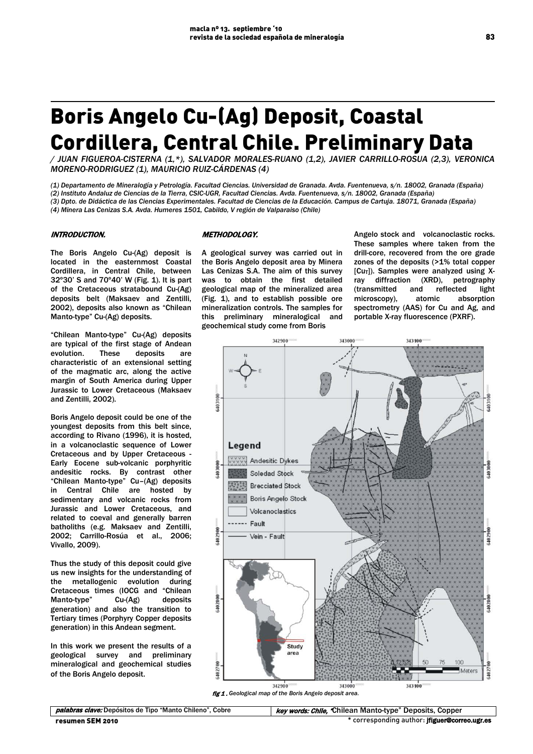# Boris Angelo Cu-(Ag) Deposit, Coastal Cordillera, Central Chile. Preliminary Data

*/ JUAN FIGUEROA-CISTERNA (1,\*), SALVADOR MORALES-RUANO (1,2), JAVIER CARRILLO-ROSUA (2,3), VERONICA MORENO-RODRIGUEZ (1), MAURICIO RUIZ-CÁRDENAS (4)*

*(1) Departamento de Mineralogía y Petrología. Facultad Ciencias. Universidad de Granada. Avda. Fuentenueva, s/n. 18002, Granada (España) (2) Instituto Andaluz de Ciencias de la Tierra, CSIC-UGR, Facultad Ciencias. Avda. Fuentenueva, s/n. 18002, Granada (España) (3) Dpto. de Didáctica de las Ciencias Experimentales. Facultad de Ciencias de la Educación. Campus de Cartuja. 18071, Granada (España) (4) Minera Las Cenizas S.A. Avda. Humeres 1501, Cabildo, V región de Valparaiso (Chile)*

# INTRODUCTION.

The Boris Angelo Cu-(Ag) deposit is located in the easternmost Coastal Cordillera, in Central Chile, between 32º30' S and 70º40' W (Fig. 1). It is part of the Cretaceous stratabound Cu-(Ag) deposits belt (Maksaev and Zentilli, 2002), deposits also known as "Chilean Manto-type" Cu-(Ag) deposits.

"Chilean Manto-type" Cu-(Ag) deposits are typical of the first stage of Andean evolution. These deposits are characteristic of an extensional setting of the magmatic arc, along the active margin of South America during Upper Jurassic to Lower Cretaceous (Maksaev and Zentilli, 2002).

Boris Angelo deposit could be one of the youngest deposits from this belt since, according to Rivano (1996), it is hosted, in a volcanoclastic sequence of Lower Cretaceous and by Upper Cretaceous - Early Eocene sub-volcanic porphyritic andesitic rocks. By contrast other "Chilean Manto-type" Cu–(Ag) deposits in Central Chile are hosted by sedimentary and volcanic rocks from Jurassic and Lower Cretaceous, and related to coeval and generally barren batholiths (e.g. Maksaev and Zentilli, 2002; Carrillo-Rosúa et al., 2006; Vivallo, 2009).

Thus the study of this deposit could give us new insights for the understanding of the metallogenic evolution during Cretaceous times (IOCG and "Chilean Manto-type" Cu-(Ag) deposits generation) and also the transition to Tertiary times (Porphyry Copper deposits generation) in this Andean segment.

In this work we present the results of a geological survey and preliminary mineralogical and geochemical studies of the Boris Angelo deposit.

# METHODOLOGY.

A geological survey was carried out in the Boris Angelo deposit area by Minera Las Cenizas S.A. The aim of this survey was to obtain the first detailed geological map of the mineralized area (Fig. 1), and to establish possible ore mineralization controls. The samples for this preliminary mineralogical and geochemical study come from Boris

Angelo stock and volcanoclastic rocks. These samples where taken from the drill-core, recovered from the ore grade zones of the deposits (>1% total copper  $[Cu<sub>T</sub>]$ ). Samples were analyzed using Xray diffraction (XRD), petrography<br>(transmitted and reflected light and reflected microscopy), atomic absorption spectrometry (AAS) for Cu and Ag, and portable X-ray fluorescence (PXRF).